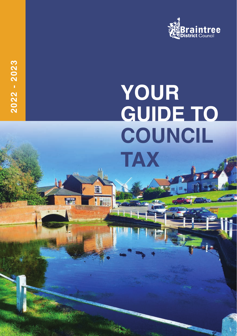

# **YOUR GUIDE TO COUNCIL TAX**

Ĥ

**Thus** 

**2022 - 2023**

2022 - 2023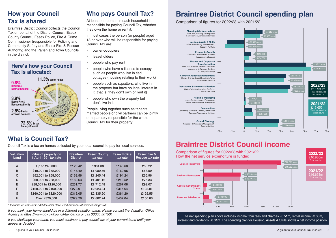# **How your Council Tax is shared**

Braintree District Council collects the Council Tax on behalf of the District Council, Essex County Council, Essex Police, Fire & Crime Commissioner (responsible for Policing and Community Safety and Essex Fire & Rescue Authority) and the Parish and Town Councils in the district.

#### **Here's how your Council Tax is allocated:**



# **What is Council Tax?**

Council Tax is a tax on homes collected by your local council to pay for local services.

| Valuation<br>band | Value of property on<br>1 April 1991 tax rate | <b>Braintree</b><br><b>District</b> | <b>Essex County</b><br>tax rate * | <b>Essex Police</b><br>tax rate | Essex Fire &<br>Rescue tax rate |
|-------------------|-----------------------------------------------|-------------------------------------|-----------------------------------|---------------------------------|---------------------------------|
| A                 | Up to £40,000                                 | £126.42                             | £934.08                           | £145.68                         | £50.22                          |
| B                 | £40,001 to £52,000                            | £147.49                             | £1,089.76                         | £169.96                         | £58.59                          |
| C                 | £52,001 to £68,000                            | £168.56                             | £1.245.44                         | £194.24                         | £66.96                          |
| D                 | £68,001 to £88,000                            | £189.63                             | £1,401.12                         | £218.52                         | £75.33                          |
| E                 | £88,001 to £120,000                           | £231.77                             | £1.712.48                         | £267.08                         | £92.07                          |
| F                 | £120,001 to £160,000                          | £273.91                             | £2,023.84                         | £315.64                         | £108.81                         |
| G                 | £160,001 to £320,000                          | £316.05                             | £2,335.20                         | £364.20                         | £125.55                         |
| н                 | Over £320,000                                 | £379.26                             | £2,802.24                         | £437.04                         | £150.66                         |

*\* Includes an amount for Adult Social Care. Find out more at www.essex.gov.uk*

If you think your home should be in a different valuation band, please contact the Valuation Office *Agency at https://www.gov.uk/council-tax-bands or call 03000 501501.*

*If you challenge your band, you must continue to pay council tax at your current band until your appeal is decided.*

#### 2 A guide to your Council Tax 2022/23

## **Who pays Council Tax?**

At least one person in each household is responsible for paying Council Tax, whether they own the home or rent it.

In most cases the person (or people) aged 18 or over who will be responsible for paying Council Tax are:

- owner-occupiers
- **leaseholders**
- people who pay rent
- people who have a licence to occupy, such as people who live in tied cottages (housing relating to their work)
- people such as squatters, who live in the property but have no legal interest in it (that is, they don't own or rent it)
- people who own the property but don't live in it.

People living together such as tenants, married people or civil partners can be jointly or separately responsible for the whole Council Tax for their property.

# **Braintree District Council spending plan**

Comparison of figures for 2022/23 with 2021/22



# **Braintree District Council income**



The net spending plan above includes income from fees and charges £6.51m, rental income £3.38m, interest and dividends £0.81m. The spending plan for Housing, Assets & Skills shows a net income position.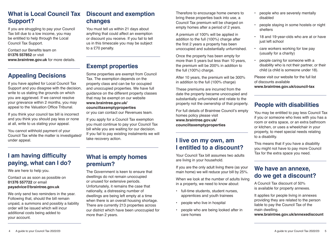If you are struggling to pay your Council Tax bill due to a low income, you may be entitled to help through the Local Council Tax Support.

Contact our Benefits team on **01376 557852** or visit **www.braintree.gov.uk** for more details.

# **Appealing Decisions**

If you have applied for Local Council Tax Support and you disagree with the decision, write to us stating the grounds on which you are aggrieved. If we cannot resolve your grievance within 2 months, you may appeal to the Valuation Office Tribunal.

If you think your council tax bill is incorrect and you think you should pay less or none at all, write to us stating your appeal.

You cannot withhold payment of your Council Tax while the matter is investigated/ under appeal.

# **changes**

You must tell us within 21 days about anything that could affect an exemption or discount you receive. If you fail to tell us in this timescale you may be subject to a £70 penalty.

# **Exempt properties**

Some properties are exempt from Council Tax. The exemption depends on the property class and can be for occupied and unoccupied properties. We have full guidance on the different property classes that may be exempt on our website **www.braintree.gov.uk/ counciltaxemptyproperties** or you can contact our Revenues team.

If you apply for a Council Tax exemption you must continue to pay your Council Tax

bill while you are waiting for our decision. If you fail to pay existing instalments we will take recovery action.

The Government is keen to ensure that dwellings do not remain unoccupied or unused for extensive periods. Unfortunately, it remains the case that nationally, a distressing number of dwellings are being left empty at a time when there is an overall housing shortage. There are currently 213 properties across our district which have been unoccupied for

more than 2 years.

Therefore to encourage home owners to bring these properties back into use, a Council Tax premium will be charged on empty homes after a period of 2 years.

A premium of 100% will be applied in addition to the full (100%) charge after the first 2 years a property has been unoccupied and substantially unfurnished.

Once the property has been empty for more than 5 years but less than 10 years, the premium will be 200% in addition to the full (100%) charge.

After 10 years, the premium will be 300% in addition to the full (100% charge)

These premiums are incurred from the date the property became unoccupied and substantially unfurnished and relate to the property not the ownership of that property.

For full details of Braintree Council's empty homes policy please visit **www.braintree.gov.uk/ counciltaxemptyproperties**

### **I live on my own, am I entitled to a discount?**

Your Council Tax bill assumes two adults are living in your household.

If you are the only adult living there (as your main home) we will reduce your bill by 25%.

When we look at the number of adults living in a property, we need to know about:

- full-time students, student nurses, apprentices and youth trainees
- people who live in hospital
- people who are being looked after in care homes
- people who are severely mentally disabled
- people staying in some hostels or night shelters
- 18 and 19-year-olds who are at or have just left school
- care workers working for low pay (usually for a charity)
- people caring for someone with a disability who is not their partner, or their child (a child is someone under 18).

Please visit our website for the full list of discounts available **www.braintree.gov.uk/council-tax**

# **People with disabilities**

You may be entitled to pay less Council Tax if you or someone who lives with you has a room or extra space, or an extra bathroom or kitchen, or uses a wheelchair in your property, to meet special needs relating to a disability.

This means that if you have a disability you might not have to pay more Council Tax for the extra space you need.

#### **We have an annexe, do we get a discount?**

A Council Tax discount of 50% is available for property annexes.

It applies for people living in annexes providing they are related to the person liable to pay the Council Tax of the main dwelling. **www.braintree.gov.uk/annexediscount**

# **I am having difficulty paying, what can I do?**

We are here to help you.

Contact us as soon as possible on **01376 557722** or email **payadvice@braintree.gov.uk** 

We only send two reminders in the year. Following that, should the bill remain unpaid, a summons and possibly a liability order will be issued which will incur additional costs being added to your account.

## **What is empty homes premium?**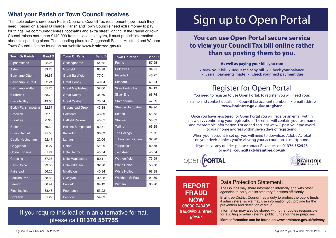# **What your Parish or Town Council receives**

The table below shows each Parish Council's Council Tax requirement (how much they need), based on a band D charge. Parish and Town Councils need extra money to pay for things like community centres, footpaths and extra street lighting. If the Parish or Town Council raises more than £140,000 from its local taxpayers, it must publish information about its spending plans. The spending plans for Coggeshall Parish, Halstead and Witham Town Councils can be found on our website **www.braintree.gov.uk**

| <b>Town Or Parish</b>        | <b>Band D</b> | <b>Town Or Parish</b>    | <b>Band D</b> | <b>Town Or Parish</b>      | <b>Band D</b> |
|------------------------------|---------------|--------------------------|---------------|----------------------------|---------------|
| Alphamstone                  | 22.06         | Gestingthorpe            | 54.62         | Rayne                      | 57.25         |
| Ashen                        | 39.76         | Gosfield                 | 63.38         | Ridgewell                  | 84.91         |
| <b>Belchamp Otten</b>        | 16.53         | <b>Great Bardfield</b>   | 77.01         | Rivenhall                  | 46.27         |
| <b>Belchamp St Paul</b>      | 22.21         | <b>Great Henny</b>       | 40.34         | Shalford                   | 61.94         |
| <b>Belchamp Walter</b>       | 55.75         | <b>Great Maplestead</b>  | 52.06         | Sible Hedingham            | 64.13         |
| <b>Birdbrook</b>             | 88.73         | <b>Great Notley</b>      | 35.70         | <b>Silver End</b>          | 66.75         |
| <b>Black Notley</b>          | 49.63         | <b>Great Yeldham</b>     | 78.54         | Stambourne                 | 47.69         |
| <b>Borley Parish meeting</b> | 22.57         | <b>Greenstead Green</b>  | 43.38         | <b>Steeple Bumpstead</b>   | 69.96         |
| <b>Bradwell</b>              | 52.18         | <b>Halstead</b>          | 48.89         | <b>Stisted</b>             | 53.62         |
| <b>Braintree</b>             | 0.00          | <b>Hatfield Peverel</b>  | 43.65         | <b>Sturmer</b>             | 58.02         |
| <b>Bulmer</b>                | 39.30         | <b>Helions Bumpstead</b> | 82.51         | <b>Terling</b>             | 66.25         |
| <b>Bures Hamlet</b>          | 95.08         | Kelvedon                 | 96.03         | <b>The Salings</b>         | 71.72         |
| Castle Hedingham             | 62.47         | Lamarsh                  | 22.06         | <b>Tilbury Juxta Clare</b> | 32.28         |
| Coggeshall                   | 98.27         | Liston                   | 51.29         | <b>Toppesfield</b>         | 80.35         |
| <b>Colne Engaine</b>         | 61.74         | <b>Little Henny</b>      | 40.34         | <b>Twinstead</b>           | 40.34         |
| Cressing                     | 57.35         | <b>Little Maplestead</b> | 52.11         | Wethersfield               | 75.69         |
| <b>Earls Colne</b>           | 93.35         | Little Yeldham           | 32.28         | <b>White Colne</b>         | 56.68         |
| Fairstead                    | 66.25         | Middleton                | 40.34         | <b>White Notley</b>        | 68.88         |
| Faulkbourne                  | 68.88         | Ovington                 | 32.28         | <b>Wickham St Paul</b>     | 91.59         |
| Feering                      | 80.44         | Panfield                 | 69.13         | Witham                     | 80.28         |
| Finchingfield                | 68.46         | Pebmarsh                 | 53.22         |                            |               |
| Foxearth                     | 51.29         | Pentlow                  | 54.89         |                            |               |

# Sign up to Open Portal

# **You can use Open Portal secure service to view your Council Tax bill online rather than us posting them to you.**

#### **As well as paying your bill, you can:**

**• View your bill • Request a copy bill • Check your balance**

**• See all payments made • Check your next payment due**

# Register for Open Portal

You need to register to use Open Portal. To register you will need your;

• name and contact details • Council Tax account number • email address **www.braintree.gov.uk/opregister**

Once you have registered for Open Portal you will receive an email within a few days confirming your registration. The email will contain your username and memorable information. For added security we will post your password to your home address within seven days of registering.

When your account is set up, you will need to download Adobe Acrobat on your device unless you're viewing your account on a smartphone.

If you have any queries please contact Revenues on **01376 552525** or e-Mail **counciltax@braintree.gov.uk**

**PORTAL** 



#### **REPORT FRAUD NOW** 08000 740405 fraud@braintree. gov.uk

#### Data Protection Statement:

The Council may share information internally and with other agencies to carry out its statutory functions efficiently.

Braintree District Council has a duty to protect the public funds it administers, so we may use information you provide for the prevention and detection of fraud.

Information may also be shared with other bodies responsible for auditing or administering public funds for these purposes.

**More information can be found on www.braintree.gov.uk/privacy**

# If you require this leaflet in an alternative format, please call **01376 557755**